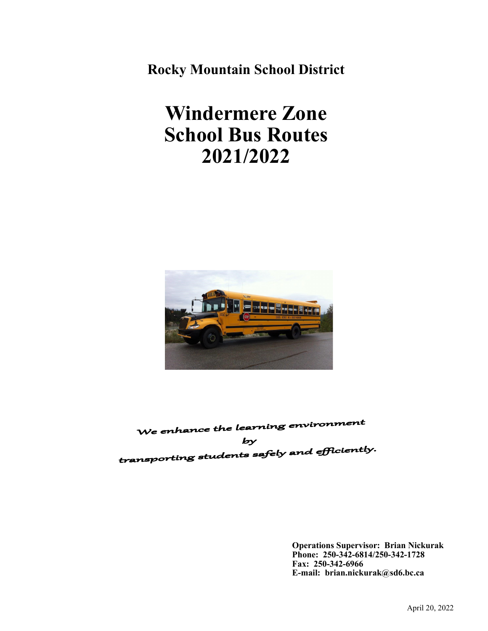**Rocky Mountain School District**

# **Windermere Zone School Bus Routes 2021/2022**



We enhance the learning environment  $by$ transporting students safely and efficiently.

> **Operations Supervisor: Brian Nickurak Phone: 250-342-6814/250-342-1728 Fax: 250-342-6966 E-mail: brian.nickurak@sd6.bc.ca**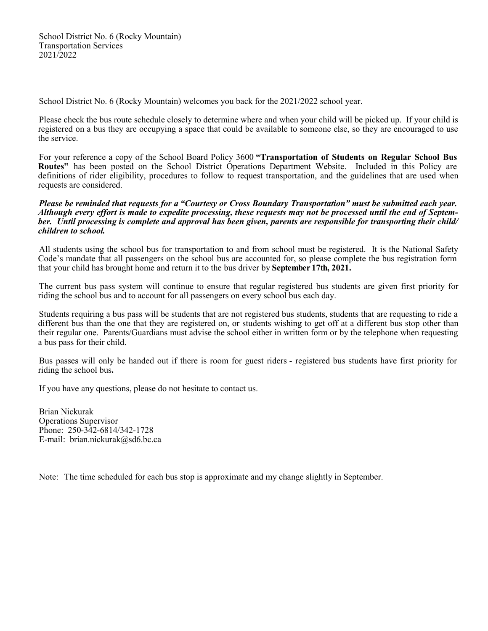School District No. 6 (Rocky Mountain) welcomes you back for the 2021/2022 school year.

Please check the bus route schedule closely to determine where and when your child will be picked up. If your child is registered on a bus they are occupying a space that could be available to someone else, so they are encouraged to use the service.

For your reference a copy of the School Board Policy 3600 **"Transportation of Students on Regular School Bus Routes"** has been posted on the School District Operations Department Website. Included in this Policy are definitions of rider eligibility, procedures to follow to request transportation, and the guidelines that are used when requests are considered.

#### *Please be reminded that requests for a "Courtesy or Cross Boundary Transportation" must be submitted each year. Although every effort is made to expedite processing, these requests may not be processed until the end of September. Until processing is complete and approval has been given, parents are responsible for transporting their child/ children to school.*

All students using the school bus for transportation to and from school must be registered. It is the National Safety Code's mandate that all passengers on the school bus are accounted for, so please complete the bus registration form that your child has brought home and return it to the bus driver by **September 17th, 2021.**

The current bus pass system will continue to ensure that regular registered bus students are given first priority for riding the school bus and to account for all passengers on every school bus each day.

Students requiring a bus pass will be students that are not registered bus students, students that are requesting to ride a different bus than the one that they are registered on, or students wishing to get off at a different bus stop other than their regular one. Parents/Guardians must advise the school either in written form or by the telephone when requesting a bus pass for their child.

Bus passes will only be handed out if there is room for guest riders - registered bus students have first priority for riding the school bus**.**

If you have any questions, please do not hesitate to contact us.

Brian Nickurak Operations Supervisor Phone: 250-342-6814/342-1728 E-mail: brian.nickurak@sd6.bc.ca

Note: The time scheduled for each bus stop is approximate and my change slightly in September.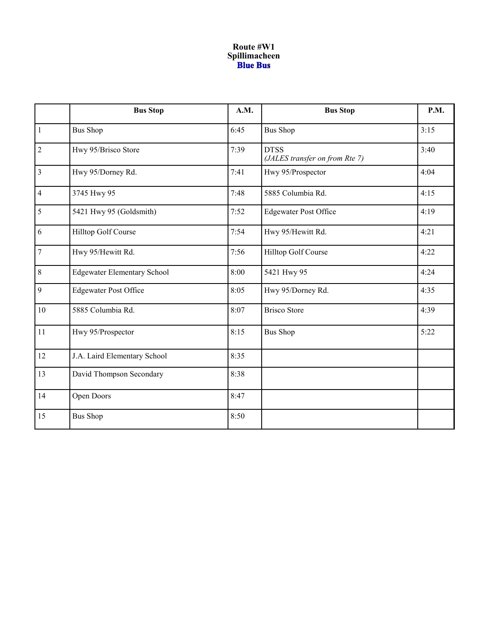### **Route #W1 Spillimacheen**

|                | <b>Bus Stop</b>                    | A.M. | <b>Bus Stop</b>                               | P.M. |
|----------------|------------------------------------|------|-----------------------------------------------|------|
| $\overline{1}$ | <b>Bus Shop</b>                    | 6:45 | <b>Bus Shop</b>                               | 3:15 |
| $\overline{2}$ | Hwy 95/Brisco Store                | 7:39 | <b>DTSS</b><br>(JALES transfer on from Rte 7) | 3:40 |
| $\overline{3}$ | Hwy 95/Dorney Rd.                  | 7:41 | Hwy 95/Prospector                             | 4:04 |
| $\overline{4}$ | 3745 Hwy 95                        | 7:48 | 5885 Columbia Rd.                             | 4:15 |
| $\overline{5}$ | 5421 Hwy 95 (Goldsmith)            | 7:52 | <b>Edgewater Post Office</b>                  | 4:19 |
| 6              | Hilltop Golf Course                | 7:54 | Hwy 95/Hewitt Rd.                             | 4:21 |
| $\overline{7}$ | Hwy 95/Hewitt Rd.                  | 7:56 | Hilltop Golf Course                           | 4:22 |
| $\sqrt{8}$     | <b>Edgewater Elementary School</b> | 8:00 | 5421 Hwy 95                                   | 4:24 |
| 9              | <b>Edgewater Post Office</b>       | 8:05 | Hwy 95/Dorney Rd.                             | 4:35 |
| 10             | 5885 Columbia Rd.                  | 8:07 | <b>Brisco Store</b>                           | 4:39 |
| 11             | Hwy 95/Prospector                  | 8:15 | <b>Bus Shop</b>                               | 5:22 |
| 12             | J.A. Laird Elementary School       | 8:35 |                                               |      |
| 13             | David Thompson Secondary           | 8:38 |                                               |      |
| 14             | Open Doors                         | 8:47 |                                               |      |
| 15             | <b>Bus Shop</b>                    | 8:50 |                                               |      |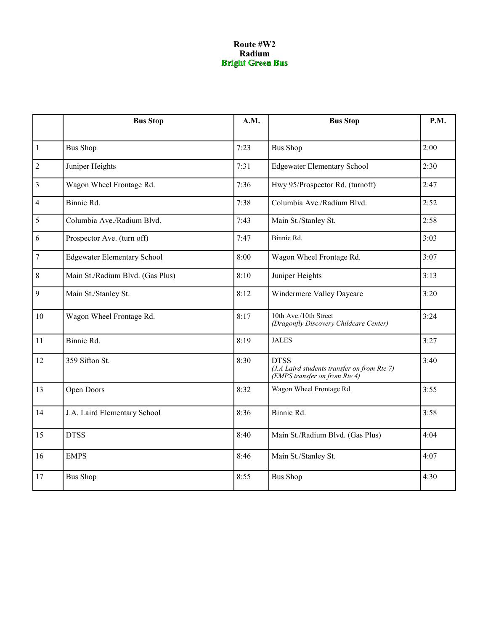### **Route #W2 Radium**<br>**Bright Green Bus**

|                         | <b>Bus Stop</b>                    | A.M. | <b>Bus Stop</b>                                                                             | P.M. |
|-------------------------|------------------------------------|------|---------------------------------------------------------------------------------------------|------|
| $\overline{1}$          | <b>Bus Shop</b>                    | 7:23 | <b>Bus Shop</b>                                                                             | 2:00 |
| $\overline{2}$          | Juniper Heights                    | 7:31 | <b>Edgewater Elementary School</b>                                                          | 2:30 |
| $\overline{\mathbf{3}}$ | Wagon Wheel Frontage Rd.           | 7:36 | Hwy 95/Prospector Rd. (turnoff)                                                             | 2:47 |
| $\overline{4}$          | Binnie Rd.                         | 7:38 | Columbia Ave./Radium Blvd.                                                                  | 2:52 |
| $\overline{\mathbf{5}}$ | Columbia Ave./Radium Blvd.         | 7:43 | Main St./Stanley St.                                                                        | 2:58 |
| 6                       | Prospector Ave. (turn off)         | 7:47 | Binnie Rd.                                                                                  | 3:03 |
| $7\overline{ }$         | <b>Edgewater Elementary School</b> | 8:00 | Wagon Wheel Frontage Rd.                                                                    | 3:07 |
| $\,8\,$                 | Main St./Radium Blvd. (Gas Plus)   | 8:10 | Juniper Heights                                                                             | 3:13 |
| $\overline{9}$          | Main St./Stanley St.               | 8:12 | Windermere Valley Daycare                                                                   | 3:20 |
| 10                      | Wagon Wheel Frontage Rd.           | 8:17 | 10th Ave./10th Street<br>(Dragonfly Discovery Childcare Center)                             | 3:24 |
| 11                      | Binnie Rd.                         | 8:19 | <b>JALES</b>                                                                                | 3:27 |
| 12                      | 359 Sifton St.                     | 8:30 | <b>DTSS</b><br>(J.A Laird students transfer on from Rte 7)<br>(EMPS transfer on from Rte 4) | 3:40 |
| 13                      | Open Doors                         | 8:32 | Wagon Wheel Frontage Rd.                                                                    | 3:55 |
| 14                      | J.A. Laird Elementary School       | 8:36 | Binnie Rd.                                                                                  | 3:58 |
| 15                      | <b>DTSS</b>                        | 8:40 | Main St./Radium Blvd. (Gas Plus)                                                            | 4:04 |
| 16                      | <b>EMPS</b>                        | 8:46 | Main St./Stanley St.                                                                        | 4:07 |
| 17                      | <b>Bus Shop</b>                    | 8:55 | <b>Bus Shop</b>                                                                             | 4:30 |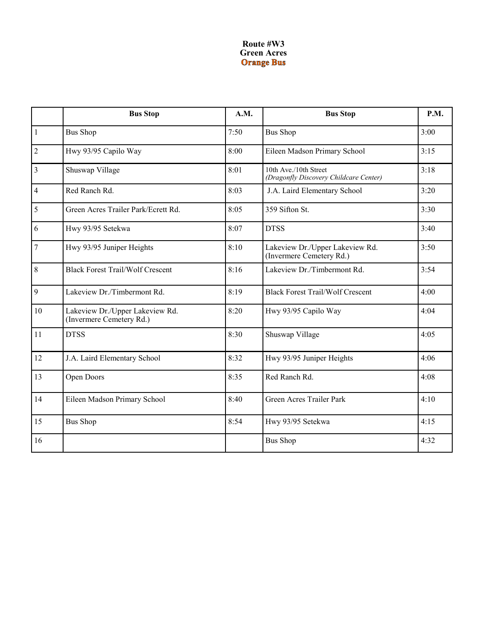### **Route #W3 Green Acres**

|                | <b>Bus Stop</b>                                             | A.M. | <b>Bus Stop</b>                                                 | P.M. |
|----------------|-------------------------------------------------------------|------|-----------------------------------------------------------------|------|
| $\overline{1}$ | <b>Bus Shop</b>                                             | 7:50 | <b>Bus Shop</b>                                                 | 3:00 |
| $\overline{2}$ | Hwy 93/95 Capilo Way                                        | 8:00 | Eileen Madson Primary School                                    | 3:15 |
| $\overline{3}$ | Shuswap Village                                             | 8:01 | 10th Ave./10th Street<br>(Dragonfly Discovery Childcare Center) | 3:18 |
| $\overline{4}$ | Red Ranch Rd.                                               | 8:03 | J.A. Laird Elementary School                                    | 3:20 |
| 5              | Green Acres Trailer Park/Ecrett Rd.                         | 8:05 | 359 Sifton St.                                                  | 3:30 |
| 6              | Hwy 93/95 Setekwa                                           | 8:07 | <b>DTSS</b>                                                     | 3:40 |
| $\overline{7}$ | Hwy 93/95 Juniper Heights                                   | 8:10 | Lakeview Dr./Upper Lakeview Rd.<br>(Invermere Cemetery Rd.)     | 3:50 |
| 8              | <b>Black Forest Trail/Wolf Crescent</b>                     | 8:16 | Lakeview Dr./Timbermont Rd.                                     | 3:54 |
| 9              | Lakeview Dr./Timbermont Rd.                                 | 8:19 | <b>Black Forest Trail/Wolf Crescent</b>                         | 4:00 |
| 10             | Lakeview Dr./Upper Lakeview Rd.<br>(Invermere Cemetery Rd.) | 8:20 | Hwy 93/95 Capilo Way                                            | 4:04 |
| 11             | <b>DTSS</b>                                                 | 8:30 | Shuswap Village                                                 | 4:05 |
| 12             | J.A. Laird Elementary School                                | 8:32 | Hwy 93/95 Juniper Heights                                       | 4:06 |
| 13             | Open Doors                                                  | 8:35 | Red Ranch Rd.                                                   | 4:08 |
| 14             | Eileen Madson Primary School                                | 8:40 | Green Acres Trailer Park                                        | 4:10 |
| 15             | <b>Bus Shop</b>                                             | 8:54 | Hwy 93/95 Setekwa                                               | 4:15 |
| 16             |                                                             |      | <b>Bus Shop</b>                                                 | 4:32 |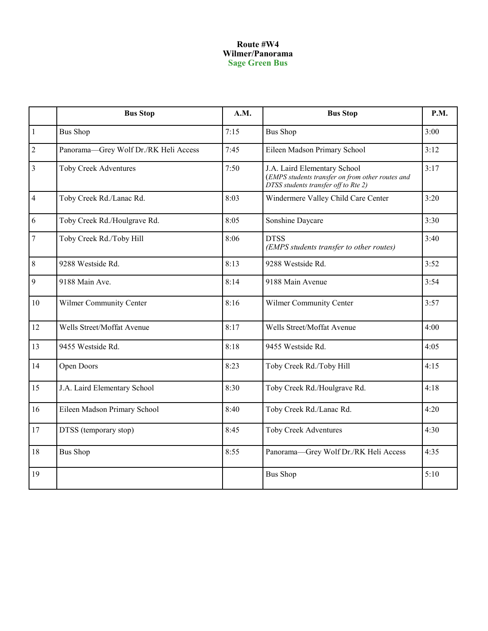#### **Route #W4 Wilmer/Panorama Sage Green Bus**

|                  | <b>Bus Stop</b>                       | A.M. | <b>Bus Stop</b>                                                                                                          | P.M. |
|------------------|---------------------------------------|------|--------------------------------------------------------------------------------------------------------------------------|------|
| $\mathbf{1}$     | <b>Bus Shop</b>                       | 7:15 | <b>Bus Shop</b>                                                                                                          | 3:00 |
| $\sqrt{2}$       | Panorama-Grey Wolf Dr./RK Heli Access | 7:45 | Eileen Madson Primary School                                                                                             | 3:12 |
| $\overline{3}$   | <b>Toby Creek Adventures</b>          | 7:50 | J.A. Laird Elementary School<br>(EMPS students transfer on from other routes and<br>DTSS students transfer off to Rte 2) | 3:17 |
| $\overline{4}$   | Toby Creek Rd./Lanac Rd.              | 8:03 | Windermere Valley Child Care Center                                                                                      | 3:20 |
| 6                | Toby Creek Rd./Houlgrave Rd.          | 8:05 | Sonshine Daycare                                                                                                         | 3:30 |
| $\boldsymbol{7}$ | Toby Creek Rd./Toby Hill              | 8:06 | <b>DTSS</b><br>(EMPS students transfer to other routes)                                                                  | 3:40 |
| $8\,$            | 9288 Westside Rd.                     | 8:13 | 9288 Westside Rd.                                                                                                        | 3:52 |
| $\overline{9}$   | 9188 Main Ave.                        | 8:14 | 9188 Main Avenue                                                                                                         | 3:54 |
| 10               | Wilmer Community Center               | 8:16 | Wilmer Community Center                                                                                                  | 3:57 |
| 12               | Wells Street/Moffat Avenue            | 8:17 | Wells Street/Moffat Avenue                                                                                               | 4:00 |
| 13               | 9455 Westside Rd.                     | 8:18 | 9455 Westside Rd.                                                                                                        | 4:05 |
| 14               | Open Doors                            | 8:23 | Toby Creek Rd./Toby Hill                                                                                                 | 4:15 |
| 15               | J.A. Laird Elementary School          | 8:30 | Toby Creek Rd./Houlgrave Rd.                                                                                             | 4:18 |
| 16               | Eileen Madson Primary School          | 8:40 | Toby Creek Rd./Lanac Rd.                                                                                                 | 4:20 |
| 17               | DTSS (temporary stop)                 | 8:45 | Toby Creek Adventures                                                                                                    | 4:30 |
| 18               | <b>Bus Shop</b>                       | 8:55 | Panorama-Grey Wolf Dr./RK Heli Access                                                                                    | 4:35 |
| 19               |                                       |      | <b>Bus Shop</b>                                                                                                          | 5:10 |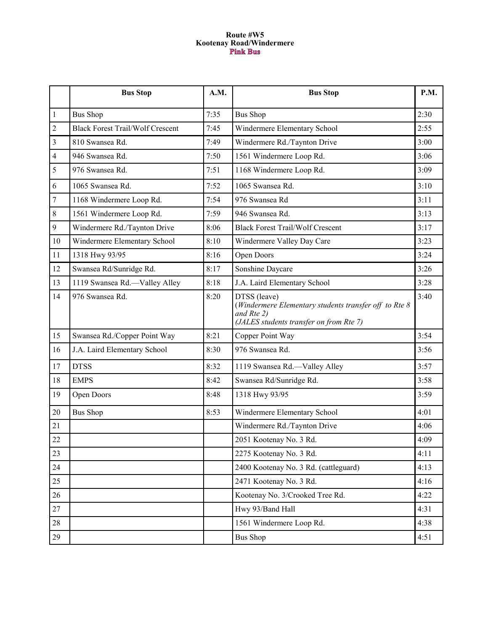### **Route #W5 Kootenay Road/Windermere**

|                | <b>Bus Stop</b>                         | A.M. | <b>Bus Stop</b>                                                                                                                | P.M. |
|----------------|-----------------------------------------|------|--------------------------------------------------------------------------------------------------------------------------------|------|
| 1              | <b>Bus Shop</b>                         | 7:35 | <b>Bus Shop</b>                                                                                                                | 2:30 |
| $\overline{2}$ | <b>Black Forest Trail/Wolf Crescent</b> | 7:45 | Windermere Elementary School                                                                                                   | 2:55 |
| 3              | 810 Swansea Rd.                         | 7:49 | Windermere Rd./Taynton Drive                                                                                                   | 3:00 |
| 4              | 946 Swansea Rd.                         | 7:50 | 1561 Windermere Loop Rd.                                                                                                       | 3:06 |
| 5              | 976 Swansea Rd.                         | 7:51 | 1168 Windermere Loop Rd.                                                                                                       | 3:09 |
| 6              | 1065 Swansea Rd.                        | 7:52 | 1065 Swansea Rd.                                                                                                               | 3:10 |
| 7              | 1168 Windermere Loop Rd.                | 7:54 | 976 Swansea Rd                                                                                                                 | 3:11 |
| 8              | 1561 Windermere Loop Rd.                | 7:59 | 946 Swansea Rd.                                                                                                                | 3:13 |
| 9              | Windermere Rd./Taynton Drive            | 8:06 | <b>Black Forest Trail/Wolf Crescent</b>                                                                                        | 3:17 |
| 10             | Windermere Elementary School            | 8:10 | Windermere Valley Day Care                                                                                                     | 3:23 |
| 11             | 1318 Hwy 93/95                          | 8:16 | Open Doors                                                                                                                     | 3:24 |
| 12             | Swansea Rd/Sunridge Rd.                 | 8:17 | Sonshine Daycare                                                                                                               | 3:26 |
| 13             | 1119 Swansea Rd.-Valley Alley           | 8:18 | J.A. Laird Elementary School                                                                                                   | 3:28 |
| 14             | 976 Swansea Rd.                         | 8:20 | DTSS (leave)<br>(Windermere Elementary students transfer off to Rte 8<br>and Rte 2)<br>(JALES students transfer on from Rte 7) | 3:40 |
| 15             | Swansea Rd./Copper Point Way            | 8:21 | Copper Point Way                                                                                                               | 3:54 |
| 16             | J.A. Laird Elementary School            | 8:30 | 976 Swansea Rd.                                                                                                                | 3:56 |
| 17             | <b>DTSS</b>                             | 8:32 | 1119 Swansea Rd.-Valley Alley                                                                                                  | 3:57 |
| 18             | <b>EMPS</b>                             | 8:42 | Swansea Rd/Sunridge Rd.                                                                                                        | 3:58 |
| 19             | Open Doors                              | 8:48 | 1318 Hwy 93/95                                                                                                                 | 3:59 |
| 20             | <b>Bus Shop</b>                         | 8:53 | Windermere Elementary School                                                                                                   | 4:01 |
| 21             |                                         |      | Windermere Rd./Taynton Drive                                                                                                   | 4:06 |
| 22             |                                         |      | 2051 Kootenay No. 3 Rd.                                                                                                        | 4:09 |
| 23             |                                         |      | 2275 Kootenay No. 3 Rd.                                                                                                        | 4:11 |
| 24             |                                         |      | 2400 Kootenay No. 3 Rd. (cattleguard)                                                                                          | 4:13 |
| 25             |                                         |      | 2471 Kootenay No. 3 Rd.                                                                                                        | 4:16 |
| 26             |                                         |      | Kootenay No. 3/Crooked Tree Rd.                                                                                                | 4:22 |
| 27             |                                         |      | Hwy 93/Band Hall                                                                                                               | 4:31 |
| 28             |                                         |      | 1561 Windermere Loop Rd.                                                                                                       | 4:38 |
| 29             |                                         |      | <b>Bus Shop</b>                                                                                                                | 4:51 |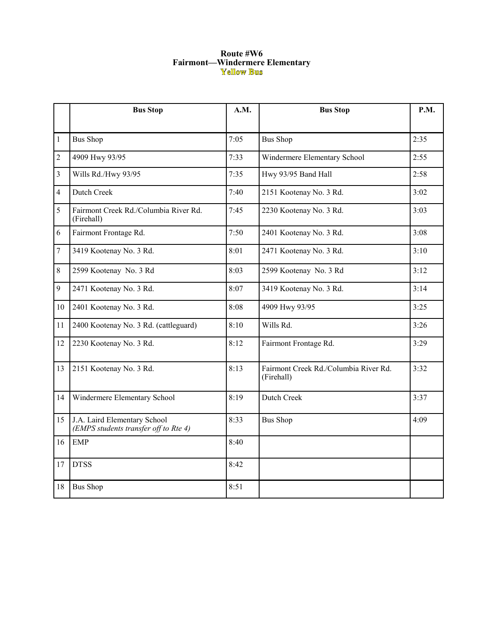# **Route #W6 Fairmont—Windermere Elementary**<br> **Fellow Bus**

|                | <b>Bus Stop</b>                                                       | A.M. | <b>Bus Stop</b>                                     | P.M. |
|----------------|-----------------------------------------------------------------------|------|-----------------------------------------------------|------|
| $\mathbf{1}$   | <b>Bus Shop</b>                                                       | 7:05 | <b>Bus Shop</b>                                     | 2:35 |
| $\overline{2}$ | 4909 Hwy 93/95                                                        | 7:33 | Windermere Elementary School                        | 2:55 |
| $\overline{3}$ | Wills Rd./Hwy 93/95                                                   | 7:35 | Hwy 93/95 Band Hall                                 | 2:58 |
| $\overline{4}$ | Dutch Creek                                                           | 7:40 | 2151 Kootenay No. 3 Rd.                             | 3:02 |
| 5              | Fairmont Creek Rd./Columbia River Rd.<br>(Firehall)                   | 7:45 | 2230 Kootenay No. 3 Rd.                             | 3:03 |
| 6              | Fairmont Frontage Rd.                                                 | 7:50 | 2401 Kootenay No. 3 Rd.                             | 3:08 |
| $\tau$         | 3419 Kootenay No. 3 Rd.                                               | 8:01 | 2471 Kootenay No. 3 Rd.                             | 3:10 |
| 8              | 2599 Kootenay No. 3 Rd                                                | 8:03 | 2599 Kootenay No. 3 Rd                              | 3:12 |
| 9              | 2471 Kootenay No. 3 Rd.                                               | 8:07 | 3419 Kootenay No. 3 Rd.                             | 3:14 |
| 10             | 2401 Kootenay No. 3 Rd.                                               | 8:08 | 4909 Hwy 93/95                                      | 3:25 |
| 11             | 2400 Kootenay No. 3 Rd. (cattleguard)                                 | 8:10 | Wills Rd.                                           | 3:26 |
| 12             | 2230 Kootenay No. 3 Rd.                                               | 8:12 | Fairmont Frontage Rd.                               | 3:29 |
| 13             | 2151 Kootenay No. 3 Rd.                                               | 8:13 | Fairmont Creek Rd./Columbia River Rd.<br>(Firehall) | 3:32 |
| 14             | Windermere Elementary School                                          | 8:19 | Dutch Creek                                         | 3:37 |
| 15             | J.A. Laird Elementary School<br>(EMPS students transfer off to Rte 4) | 8:33 | <b>Bus Shop</b>                                     | 4:09 |
| 16             | <b>EMP</b>                                                            | 8:40 |                                                     |      |
| 17             | <b>DTSS</b>                                                           | 8:42 |                                                     |      |
| 18             | <b>Bus Shop</b>                                                       | 8:51 |                                                     |      |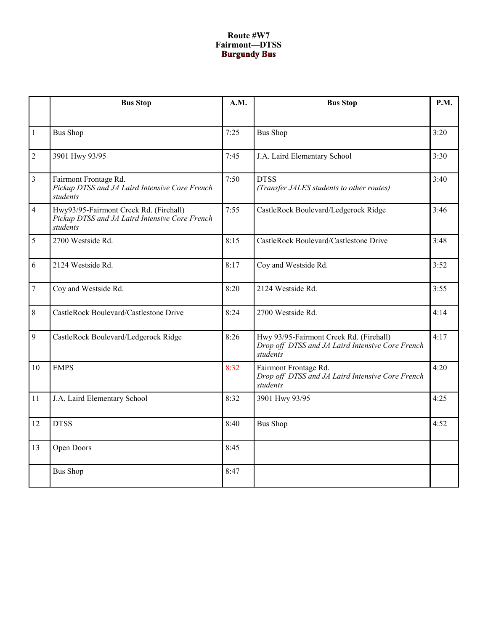## **Route #W7 Fairmont—DTSS**

|                | <b>Bus Stop</b>                                                                                      | A.M. | <b>Bus Stop</b>                                                                                         | <b>P.M.</b> |
|----------------|------------------------------------------------------------------------------------------------------|------|---------------------------------------------------------------------------------------------------------|-------------|
|                |                                                                                                      |      |                                                                                                         |             |
| $\mathbf{1}$   | <b>Bus Shop</b>                                                                                      | 7:25 | <b>Bus Shop</b>                                                                                         | 3:20        |
| $\overline{2}$ | 3901 Hwy 93/95                                                                                       | 7:45 | J.A. Laird Elementary School                                                                            | 3:30        |
| 3              | Fairmont Frontage Rd.<br>Pickup DTSS and JA Laird Intensive Core French<br>students                  | 7:50 | <b>DTSS</b><br>(Transfer JALES students to other routes)                                                | 3:40        |
| $\overline{4}$ | Hwy93/95-Fairmont Creek Rd. (Firehall)<br>Pickup DTSS and JA Laird Intensive Core French<br>students | 7:55 | CastleRock Boulevard/Ledgerock Ridge                                                                    | 3:46        |
| 5              | 2700 Westside Rd.                                                                                    | 8:15 | CastleRock Boulevard/Castlestone Drive                                                                  | 3:48        |
| 6              | 2124 Westside Rd.                                                                                    | 8:17 | Coy and Westside Rd.                                                                                    | 3:52        |
| $\tau$         | Coy and Westside Rd.                                                                                 | 8:20 | 2124 Westside Rd.                                                                                       | 3:55        |
| 8              | CastleRock Boulevard/Castlestone Drive                                                               | 8:24 | 2700 Westside Rd.                                                                                       | 4:14        |
| 9              | CastleRock Boulevard/Ledgerock Ridge                                                                 | 8:26 | Hwy 93/95-Fairmont Creek Rd. (Firehall)<br>Drop off DTSS and JA Laird Intensive Core French<br>students | 4:17        |
| 10             | <b>EMPS</b>                                                                                          | 8:32 | Fairmont Frontage Rd.<br>Drop off DTSS and JA Laird Intensive Core French<br>students                   | 4:20        |
| 11             | J.A. Laird Elementary School                                                                         | 8:32 | 3901 Hwy 93/95                                                                                          | 4:25        |
| 12             | <b>DTSS</b>                                                                                          | 8:40 | <b>Bus Shop</b>                                                                                         | 4:52        |
| 13             | Open Doors                                                                                           | 8:45 |                                                                                                         |             |
|                | <b>Bus Shop</b>                                                                                      | 8:47 |                                                                                                         |             |